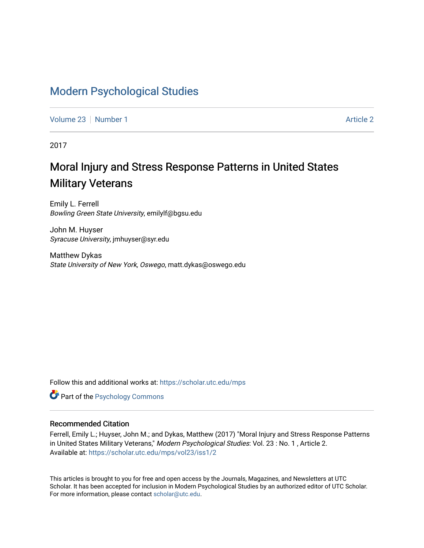## [Modern Psychological Studies](https://scholar.utc.edu/mps)

[Volume 23](https://scholar.utc.edu/mps/vol23) [Number 1](https://scholar.utc.edu/mps/vol23/iss1) [Article 2](https://scholar.utc.edu/mps/vol23/iss1/2) Article 2

2017

# Moral Injury and Stress Response Patterns in United States Military Veterans

Emily L. Ferrell Bowling Green State University, emilylf@bgsu.edu

John M. Huyser Syracuse University, jmhuyser@syr.edu

Matthew Dykas State University of New York, Oswego, matt.dykas@oswego.edu

Follow this and additional works at: [https://scholar.utc.edu/mps](https://scholar.utc.edu/mps?utm_source=scholar.utc.edu%2Fmps%2Fvol23%2Fiss1%2F2&utm_medium=PDF&utm_campaign=PDFCoverPages) 

**Part of the Psychology Commons** 

## Recommended Citation

Ferrell, Emily L.; Huyser, John M.; and Dykas, Matthew (2017) "Moral Injury and Stress Response Patterns in United States Military Veterans," Modern Psychological Studies: Vol. 23 : No. 1, Article 2. Available at: [https://scholar.utc.edu/mps/vol23/iss1/2](https://scholar.utc.edu/mps/vol23/iss1/2?utm_source=scholar.utc.edu%2Fmps%2Fvol23%2Fiss1%2F2&utm_medium=PDF&utm_campaign=PDFCoverPages) 

This articles is brought to you for free and open access by the Journals, Magazines, and Newsletters at UTC Scholar. It has been accepted for inclusion in Modern Psychological Studies by an authorized editor of UTC Scholar. For more information, please contact [scholar@utc.edu](mailto:scholar@utc.edu).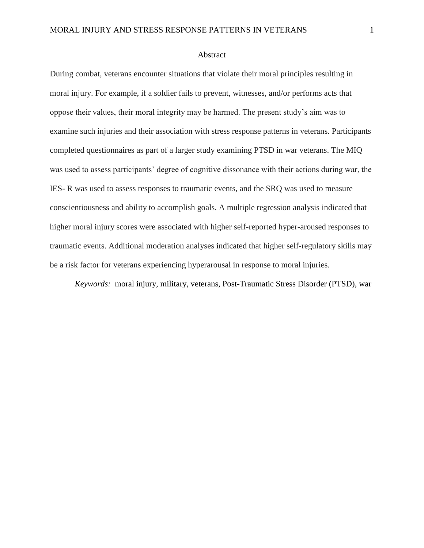#### Abstract

During combat, veterans encounter situations that violate their moral principles resulting in moral injury. For example, if a soldier fails to prevent, witnesses, and/or performs acts that oppose their values, their moral integrity may be harmed. The present study's aim was to examine such injuries and their association with stress response patterns in veterans. Participants completed questionnaires as part of a larger study examining PTSD in war veterans. The MIQ was used to assess participants' degree of cognitive dissonance with their actions during war, the IES- R was used to assess responses to traumatic events, and the SRQ was used to measure conscientiousness and ability to accomplish goals. A multiple regression analysis indicated that higher moral injury scores were associated with higher self-reported hyper-aroused responses to traumatic events. Additional moderation analyses indicated that higher self-regulatory skills may be a risk factor for veterans experiencing hyperarousal in response to moral injuries.

*Keywords:* moral injury, military, veterans, Post-Traumatic Stress Disorder (PTSD), war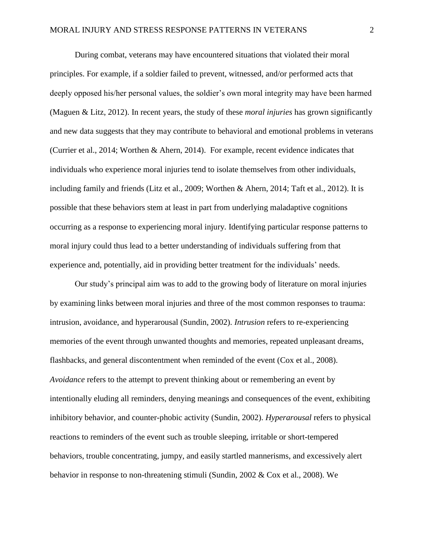During combat, veterans may have encountered situations that violated their moral principles. For example, if a soldier failed to prevent, witnessed, and/or performed acts that deeply opposed his/her personal values, the soldier's own moral integrity may have been harmed (Maguen & Litz, 2012). In recent years, the study of these *moral injuries* has grown significantly and new data suggests that they may contribute to behavioral and emotional problems in veterans (Currier et al., 2014; Worthen & Ahern, 2014). For example, recent evidence indicates that individuals who experience moral injuries tend to isolate themselves from other individuals, including family and friends (Litz et al., 2009; Worthen & Ahern, 2014; Taft et al., 2012). It is possible that these behaviors stem at least in part from underlying maladaptive cognitions occurring as a response to experiencing moral injury. Identifying particular response patterns to moral injury could thus lead to a better understanding of individuals suffering from that experience and, potentially, aid in providing better treatment for the individuals' needs.

Our study's principal aim was to add to the growing body of literature on moral injuries by examining links between moral injuries and three of the most common responses to trauma: intrusion, avoidance, and hyperarousal (Sundin, 2002). *Intrusion* refers to re-experiencing memories of the event through unwanted thoughts and memories, repeated unpleasant dreams, flashbacks, and general discontentment when reminded of the event (Cox et al., 2008). *Avoidance* refers to the attempt to prevent thinking about or remembering an event by intentionally eluding all reminders, denying meanings and consequences of the event, exhibiting inhibitory behavior, and counter-phobic activity (Sundin, 2002). *Hyperarousal* refers to physical reactions to reminders of the event such as trouble sleeping, irritable or short-tempered behaviors, trouble concentrating, jumpy, and easily startled mannerisms, and excessively alert behavior in response to non-threatening stimuli (Sundin, 2002 & Cox et al., 2008). We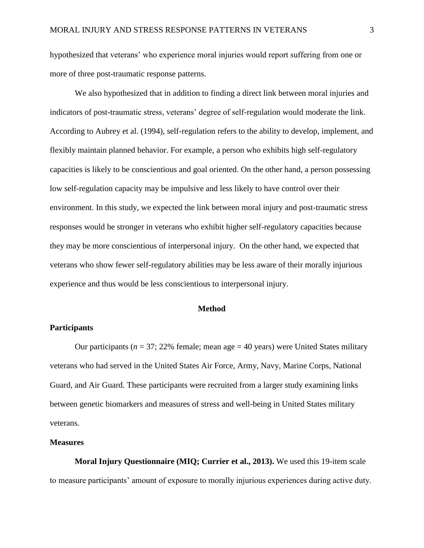hypothesized that veterans' who experience moral injuries would report suffering from one or more of three post-traumatic response patterns.

We also hypothesized that in addition to finding a direct link between moral injuries and indicators of post-traumatic stress, veterans' degree of self-regulation would moderate the link. According to Aubrey et al. (1994), self-regulation refers to the ability to develop, implement, and flexibly maintain planned behavior. For example, a person who exhibits high self-regulatory capacities is likely to be conscientious and goal oriented. On the other hand, a person possessing low self-regulation capacity may be impulsive and less likely to have control over their environment. In this study, we expected the link between moral injury and post-traumatic stress responses would be stronger in veterans who exhibit higher self-regulatory capacities because they may be more conscientious of interpersonal injury. On the other hand, we expected that veterans who show fewer self-regulatory abilities may be less aware of their morally injurious experience and thus would be less conscientious to interpersonal injury.

## **Method**

## **Participants**

Our participants ( $n = 37$ ; 22% female; mean age  $= 40$  years) were United States military veterans who had served in the United States Air Force, Army, Navy, Marine Corps, National Guard, and Air Guard. These participants were recruited from a larger study examining links between genetic biomarkers and measures of stress and well-being in United States military veterans.

## **Measures**

**Moral Injury Questionnaire (MIQ; Currier et al., 2013).** We used this 19-item scale to measure participants' amount of exposure to morally injurious experiences during active duty.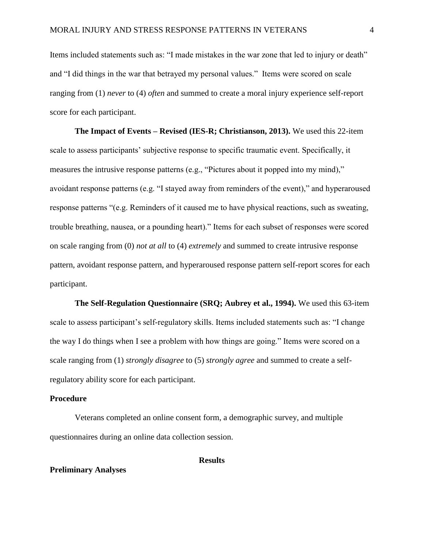Items included statements such as: "I made mistakes in the war zone that led to injury or death" and "I did things in the war that betrayed my personal values." Items were scored on scale ranging from (1) *never* to (4) *often* and summed to create a moral injury experience self-report score for each participant.

**The Impact of Events – Revised (IES-R; Christianson, 2013).** We used this 22-item scale to assess participants' subjective response to specific traumatic event. Specifically, it measures the intrusive response patterns (e.g., "Pictures about it popped into my mind)," avoidant response patterns (e.g. "I stayed away from reminders of the event)," and hyperaroused response patterns "(e.g. Reminders of it caused me to have physical reactions, such as sweating, trouble breathing, nausea, or a pounding heart)." Items for each subset of responses were scored on scale ranging from (0) *not at all* to (4) *extremely* and summed to create intrusive response pattern, avoidant response pattern, and hyperaroused response pattern self-report scores for each participant.

**The Self-Regulation Questionnaire (SRQ; Aubrey et al., 1994).** We used this 63-item scale to assess participant's self-regulatory skills. Items included statements such as: "I change the way I do things when I see a problem with how things are going." Items were scored on a scale ranging from (1) *strongly disagree* to (5) *strongly agree* and summed to create a selfregulatory ability score for each participant.

#### **Procedure**

Veterans completed an online consent form, a demographic survey, and multiple questionnaires during an online data collection session.

#### **Preliminary Analyses**

#### **Results**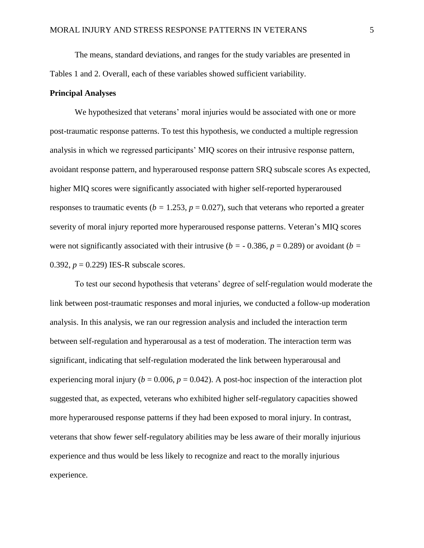The means, standard deviations, and ranges for the study variables are presented in Tables 1 and 2. Overall, each of these variables showed sufficient variability.

#### **Principal Analyses**

We hypothesized that veterans' moral injuries would be associated with one or more post-traumatic response patterns. To test this hypothesis, we conducted a multiple regression analysis in which we regressed participants' MIQ scores on their intrusive response pattern, avoidant response pattern, and hyperaroused response pattern SRQ subscale scores As expected, higher MIQ scores were significantly associated with higher self-reported hyperaroused responses to traumatic events ( $b = 1.253$ ,  $p = 0.027$ ), such that veterans who reported a greater severity of moral injury reported more hyperaroused response patterns. Veteran's MIQ scores were not significantly associated with their intrusive ( $b = -0.386$ ,  $p = 0.289$ ) or avoidant ( $b =$ 0.392,  $p = 0.229$ ) IES-R subscale scores.

To test our second hypothesis that veterans' degree of self-regulation would moderate the link between post-traumatic responses and moral injuries, we conducted a follow-up moderation analysis. In this analysis, we ran our regression analysis and included the interaction term between self-regulation and hyperarousal as a test of moderation. The interaction term was significant, indicating that self-regulation moderated the link between hyperarousal and experiencing moral injury ( $b = 0.006$ ,  $p = 0.042$ ). A post-hoc inspection of the interaction plot suggested that, as expected, veterans who exhibited higher self-regulatory capacities showed more hyperaroused response patterns if they had been exposed to moral injury. In contrast, veterans that show fewer self-regulatory abilities may be less aware of their morally injurious experience and thus would be less likely to recognize and react to the morally injurious experience.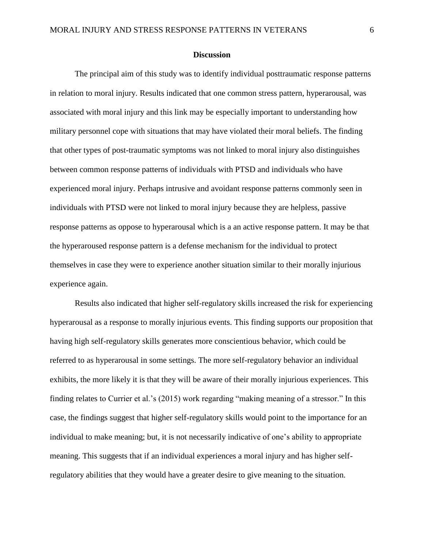#### **Discussion**

The principal aim of this study was to identify individual posttraumatic response patterns in relation to moral injury. Results indicated that one common stress pattern, hyperarousal, was associated with moral injury and this link may be especially important to understanding how military personnel cope with situations that may have violated their moral beliefs. The finding that other types of post-traumatic symptoms was not linked to moral injury also distinguishes between common response patterns of individuals with PTSD and individuals who have experienced moral injury. Perhaps intrusive and avoidant response patterns commonly seen in individuals with PTSD were not linked to moral injury because they are helpless, passive response patterns as oppose to hyperarousal which is a an active response pattern. It may be that the hyperaroused response pattern is a defense mechanism for the individual to protect themselves in case they were to experience another situation similar to their morally injurious experience again.

Results also indicated that higher self-regulatory skills increased the risk for experiencing hyperarousal as a response to morally injurious events. This finding supports our proposition that having high self-regulatory skills generates more conscientious behavior, which could be referred to as hyperarousal in some settings. The more self-regulatory behavior an individual exhibits, the more likely it is that they will be aware of their morally injurious experiences. This finding relates to Currier et al.'s (2015) work regarding "making meaning of a stressor." In this case, the findings suggest that higher self-regulatory skills would point to the importance for an individual to make meaning; but, it is not necessarily indicative of one's ability to appropriate meaning. This suggests that if an individual experiences a moral injury and has higher selfregulatory abilities that they would have a greater desire to give meaning to the situation.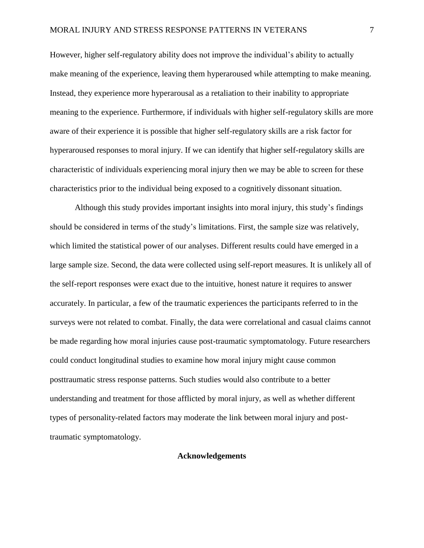However, higher self-regulatory ability does not improve the individual's ability to actually make meaning of the experience, leaving them hyperaroused while attempting to make meaning. Instead, they experience more hyperarousal as a retaliation to their inability to appropriate meaning to the experience. Furthermore, if individuals with higher self-regulatory skills are more aware of their experience it is possible that higher self-regulatory skills are a risk factor for hyperaroused responses to moral injury. If we can identify that higher self-regulatory skills are characteristic of individuals experiencing moral injury then we may be able to screen for these characteristics prior to the individual being exposed to a cognitively dissonant situation.

Although this study provides important insights into moral injury, this study's findings should be considered in terms of the study's limitations. First, the sample size was relatively, which limited the statistical power of our analyses. Different results could have emerged in a large sample size. Second, the data were collected using self-report measures. It is unlikely all of the self-report responses were exact due to the intuitive, honest nature it requires to answer accurately. In particular, a few of the traumatic experiences the participants referred to in the surveys were not related to combat. Finally, the data were correlational and casual claims cannot be made regarding how moral injuries cause post-traumatic symptomatology. Future researchers could conduct longitudinal studies to examine how moral injury might cause common posttraumatic stress response patterns. Such studies would also contribute to a better understanding and treatment for those afflicted by moral injury, as well as whether different types of personality-related factors may moderate the link between moral injury and posttraumatic symptomatology.

## **Acknowledgements**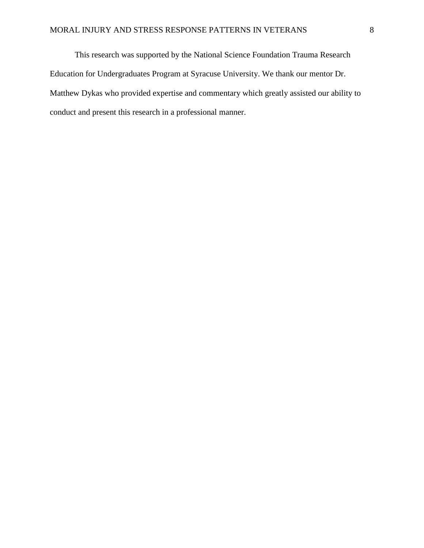This research was supported by the National Science Foundation Trauma Research Education for Undergraduates Program at Syracuse University. We thank our mentor Dr. Matthew Dykas who provided expertise and commentary which greatly assisted our ability to conduct and present this research in a professional manner.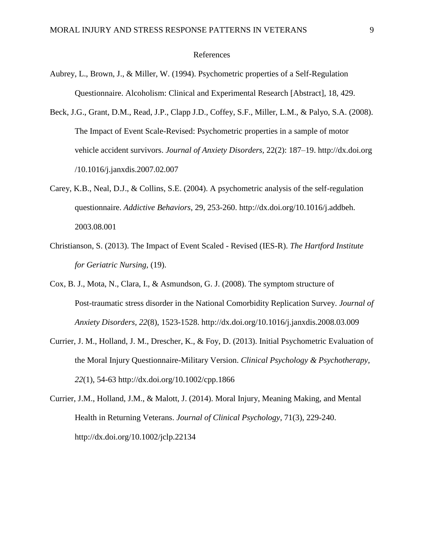#### References

- Aubrey, L., Brown, J., & Miller, W. (1994). Psychometric properties of a Self-Regulation Questionnaire. Alcoholism: Clinical and Experimental Research [Abstract], 18, 429.
- Beck, J.G., Grant, D.M., Read, J.P., Clapp J.D., Coffey, S.F., Miller, L.M., & Palyo, S.A. (2008). The Impact of Event Scale-Revised: Psychometric properties in a sample of motor vehicle accident survivors. *Journal of Anxiety Disorders,* 22(2): 187–19. http://dx.doi.org /10.1016/j.janxdis.2007.02.007
- Carey, K.B., Neal, D.J., & Collins, S.E. (2004). A psychometric analysis of the self-regulation questionnaire. *Addictive Behaviors*, 29, 253-260. http://dx.doi.org/10.1016/j.addbeh. 2003.08.001
- Christianson, S. (2013). The Impact of Event Scaled Revised (IES-R). *The Hartford Institute for Geriatric Nursing,* (19).
- Cox, B. J., Mota, N., Clara, I., & Asmundson, G. J. (2008). The symptom structure of Post-traumatic stress disorder in the National Comorbidity Replication Survey. *Journal of Anxiety Disorders, 22*(8), 1523-1528. http://dx.doi.org/10.1016/j.janxdis.2008.03.009
- Currier, J. M., Holland, J. M., Drescher, K., & Foy, D. (2013). Initial Psychometric Evaluation of the Moral Injury Questionnaire-Military Version. *Clinical Psychology & Psychotherapy, 22*(1), 54-63 http://dx.doi.org/10.1002/cpp.1866
- Currier, J.M., Holland, J.M., & Malott, J. (2014). Moral Injury, Meaning Making, and Mental Health in Returning Veterans. *Journal of Clinical Psychology*, 71(3), 229-240. http://dx.doi.org/10.1002/jclp.22134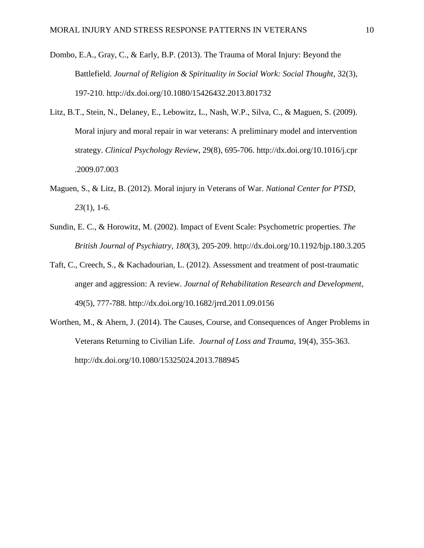- Dombo, E.A., Gray, C., & Early, B.P. (2013). The Trauma of Moral Injury: Beyond the Battlefield. *Journal of Religion & Spirituality in Social Work: Social Thought*, 32(3), 197-210. http://dx.doi.org/10.1080/15426432.2013.801732
- Litz, B.T., Stein, N., Delaney, E., Lebowitz, L., Nash, W.P., Silva, C., & Maguen, S. (2009). Moral injury and moral repair in war veterans: A preliminary model and intervention strategy. *Clinical Psychology Review*, 29(8), 695-706. http://dx.doi.org/10.1016/j.cpr .2009.07.003
- Maguen, S., & Litz, B. (2012). Moral injury in Veterans of War. *National Center for PTSD, 23*(1), 1-6.
- Sundin, E. C., & Horowitz, M. (2002). Impact of Event Scale: Psychometric properties. *The British Journal of Psychiatry, 180*(3), 205-209. http://dx.doi.org/10.1192/bjp.180.3.205
- Taft, C., Creech, S., & Kachadourian, L. (2012). Assessment and treatment of post-traumatic anger and aggression: A review. *Journal of Rehabilitation Research and Development*, 49(5), 777-788. http://dx.doi.org/10.1682/jrrd.2011.09.0156
- Worthen, M., & Ahern, J. (2014). The Causes, Course, and Consequences of Anger Problems in Veterans Returning to Civilian Life. *Journal of Loss and Trauma*, 19(4), 355-363. http://dx.doi.org/10.1080/15325024.2013.788945